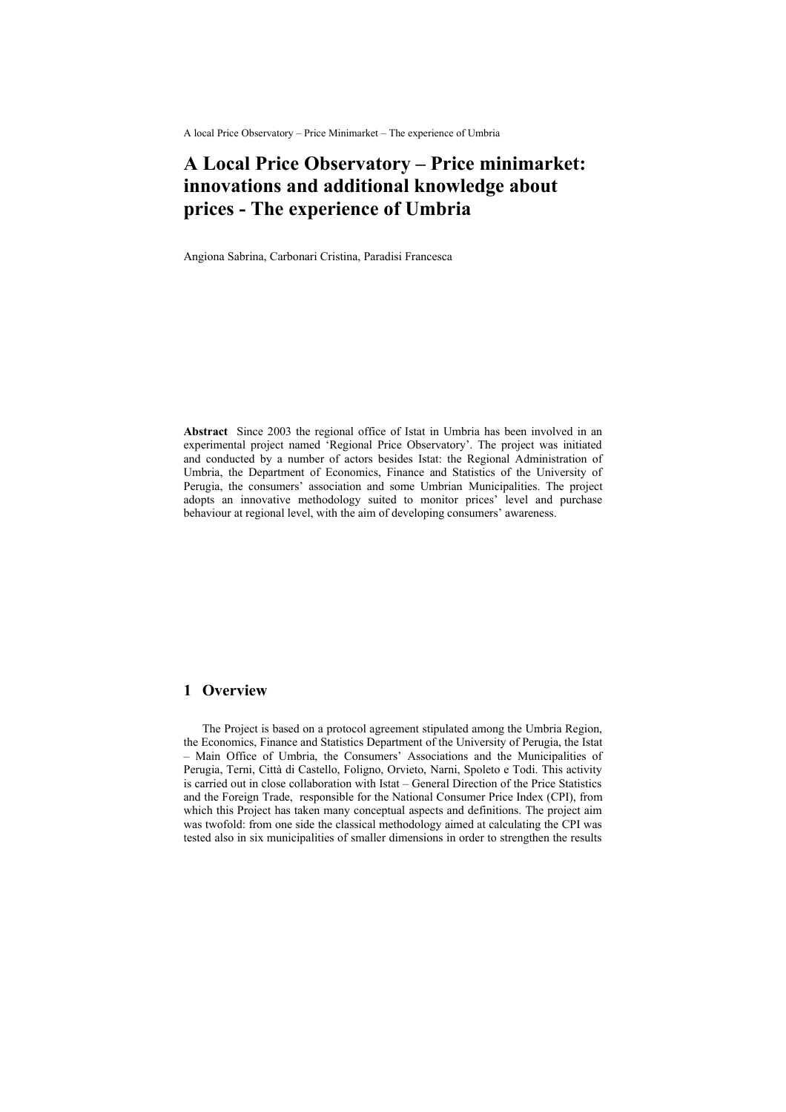A local Price Observatory – Price Minimarket – The experience of Umbria

# **A Local Price Observatory – Price minimarket: innovations and additional knowledge about prices - The experience of Umbria**

Angiona Sabrina, Carbonari Cristina, Paradisi Francesca

**Abstract** Since 2003 the regional office of Istat in Umbria has been involved in an experimental project named 'Regional Price Observatory'. The project was initiated and conducted by a number of actors besides Istat: the Regional Administration of Umbria, the Department of Economics, Finance and Statistics of the University of Perugia, the consumers' association and some Umbrian Municipalities. The project adopts an innovative methodology suited to monitor prices' level and purchase behaviour at regional level, with the aim of developing consumers' awareness.

## **1 Overview**

The Project is based on a protocol agreement stipulated among the Umbria Region, the Economics, Finance and Statistics Department of the University of Perugia, the Istat – Main Office of Umbria, the Consumers' Associations and the Municipalities of Perugia, Terni, Città di Castello, Foligno, Orvieto, Narni, Spoleto e Todi. This activity is carried out in close collaboration with Istat – General Direction of the Price Statistics and the Foreign Trade, responsible for the National Consumer Price Index (CPI), from which this Project has taken many conceptual aspects and definitions. The project aim was twofold: from one side the classical methodology aimed at calculating the CPI was tested also in six municipalities of smaller dimensions in order to strengthen the results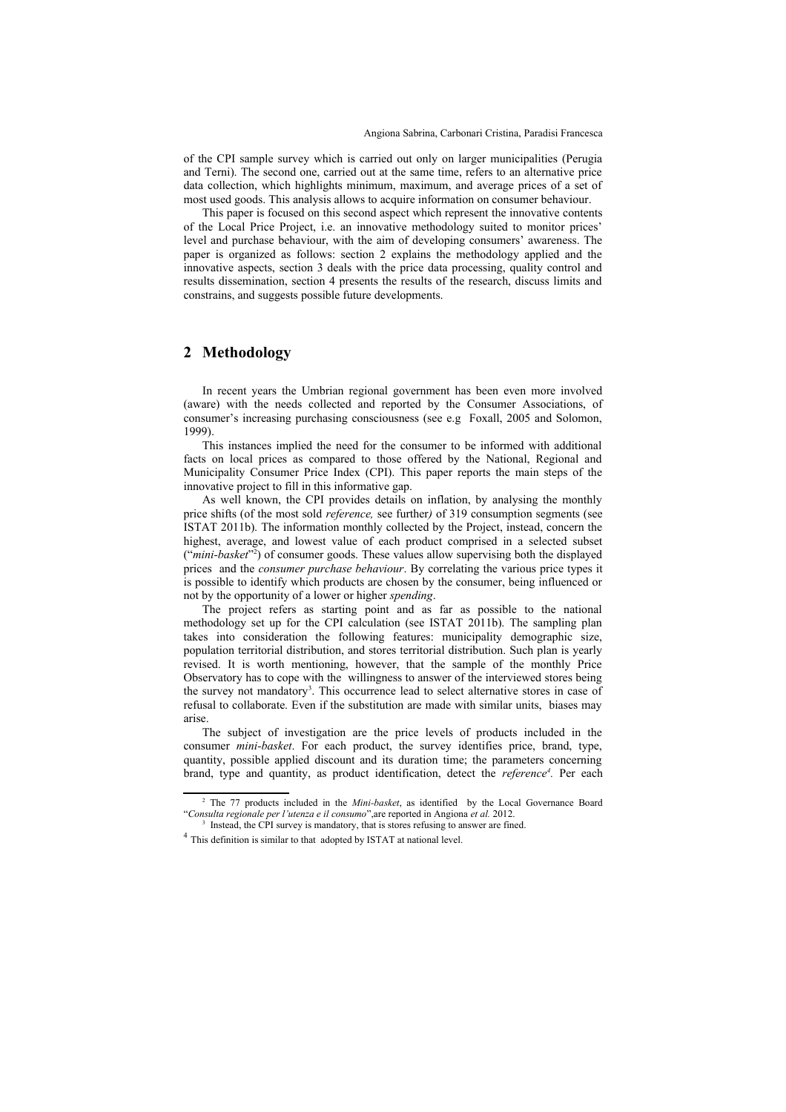of the CPI sample survey which is carried out only on larger municipalities (Perugia and Terni). The second one, carried out at the same time, refers to an alternative price data collection, which highlights minimum, maximum, and average prices of a set of most used goods. This analysis allows to acquire information on consumer behaviour.

This paper is focused on this second aspect which represent the innovative contents of the Local Price Project, i.e. an innovative methodology suited to monitor prices' level and purchase behaviour, with the aim of developing consumers' awareness. The paper is organized as follows: section 2 explains the methodology applied and the innovative aspects, section 3 deals with the price data processing, quality control and results dissemination, section 4 presents the results of the research, discuss limits and constrains, and suggests possible future developments.

#### **2 Methodology**

In recent years the Umbrian regional government has been even more involved (aware) with the needs collected and reported by the Consumer Associations, of consumer's increasing purchasing consciousness (see e.g Foxall, 2005 and Solomon, 1999).

This instances implied the need for the consumer to be informed with additional facts on local prices as compared to those offered by the National, Regional and Municipality Consumer Price Index (CPI). This paper reports the main steps of the innovative project to fill in this informative gap.

As well known, the CPI provides details on inflation, by analysing the monthly price shifts (of the most sold *reference,* see further*)* of 319 consumption segments (see ISTAT 2011b). The information monthly collected by the Project, instead, concern the highest, average, and lowest value of each product comprised in a selected subset ("*mini-basket*" [2](#page-1-0) ) of consumer goods. These values allow supervising both the displayed prices and the *consumer purchase behaviour*. By correlating the various price types it is possible to identify which products are chosen by the consumer, being influenced or not by the opportunity of a lower or higher *spending*.

The project refers as starting point and as far as possible to the national methodology set up for the CPI calculation (see ISTAT 2011b). The sampling plan takes into consideration the following features: municipality demographic size, population territorial distribution, and stores territorial distribution. Such plan is yearly revised. It is worth mentioning, however, that the sample of the monthly Price Observatory has to cope with the willingness to answer of the interviewed stores being the survey not mandatory<sup>[3](#page-1-1)</sup>. This occurrence lead to select alternative stores in case of refusal to collaborate. Even if the substitution are made with similar units, biases may arise.

The subject of investigation are the price levels of products included in the consumer *mini-basket*. For each product, the survey identifies price, brand, type, quantity, possible applied discount and its duration time; the parameters concerning brand, type and quantity, as product identification, detect the *reference<sup>[4](#page-1-2)</sup>*. Per each

<span id="page-1-0"></span><sup>2</sup> The 77 products included in the *Mini-basket*, as identified by the Local Governance Board "*Consulta regionale per l'utenza e il consumo*",are reported in Angiona *et al.* 2012.

<span id="page-1-1"></span><sup>&</sup>lt;sup>3</sup> Instead, the CPI survey is mandatory, that is stores refusing to answer are fined.

<span id="page-1-2"></span><sup>&</sup>lt;sup>4</sup> This definition is similar to that adopted by ISTAT at national level.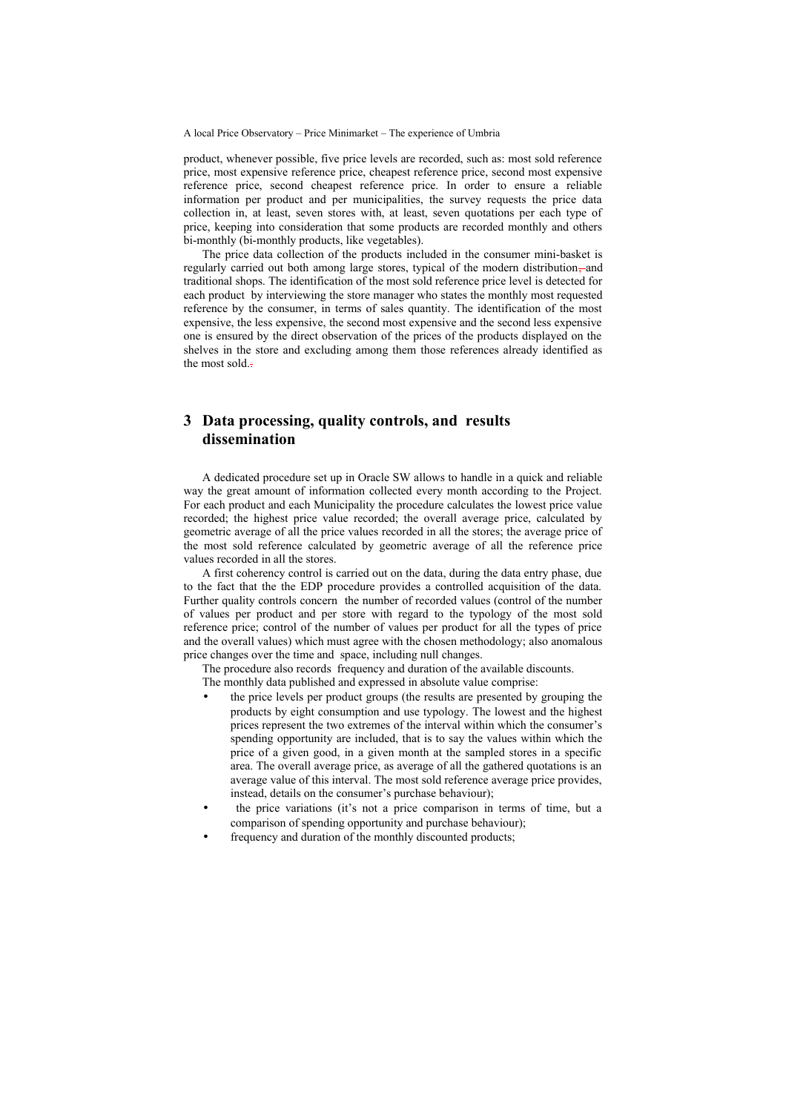A local Price Observatory – Price Minimarket – The experience of Umbria

product, whenever possible, five price levels are recorded, such as: most sold reference price, most expensive reference price, cheapest reference price, second most expensive reference price, second cheapest reference price. In order to ensure a reliable information per product and per municipalities, the survey requests the price data collection in, at least, seven stores with, at least, seven quotations per each type of price, keeping into consideration that some products are recorded monthly and others bi-monthly (bi-monthly products, like vegetables).

The price data collection of the products included in the consumer mini-basket is regularly carried out both among large stores, typical of the modern distribution, and traditional shops. The identification of the most sold reference price level is detected for each product by interviewing the store manager who states the monthly most requested reference by the consumer, in terms of sales quantity. The identification of the most expensive, the less expensive, the second most expensive and the second less expensive one is ensured by the direct observation of the prices of the products displayed on the shelves in the store and excluding among them those references already identified as the most sold..

### **3 Data processing, quality controls, and results dissemination**

A dedicated procedure set up in Oracle SW allows to handle in a quick and reliable way the great amount of information collected every month according to the Project. For each product and each Municipality the procedure calculates the lowest price value recorded; the highest price value recorded; the overall average price, calculated by geometric average of all the price values recorded in all the stores; the average price of the most sold reference calculated by geometric average of all the reference price values recorded in all the stores.

A first coherency control is carried out on the data, during the data entry phase, due to the fact that the the EDP procedure provides a controlled acquisition of the data. Further quality controls concern the number of recorded values (control of the number of values per product and per store with regard to the typology of the most sold reference price; control of the number of values per product for all the types of price and the overall values) which must agree with the chosen methodology; also anomalous price changes over the time and space, including null changes.

The procedure also records frequency and duration of the available discounts. The monthly data published and expressed in absolute value comprise:

- the price levels per product groups (the results are presented by grouping the products by eight consumption and use typology. The lowest and the highest prices represent the two extremes of the interval within which the consumer's spending opportunity are included, that is to say the values within which the price of a given good, in a given month at the sampled stores in a specific area. The overall average price, as average of all the gathered quotations is an average value of this interval. The most sold reference average price provides, instead, details on the consumer's purchase behaviour);
- the price variations (it's not a price comparison in terms of time, but a comparison of spending opportunity and purchase behaviour);
- frequency and duration of the monthly discounted products;